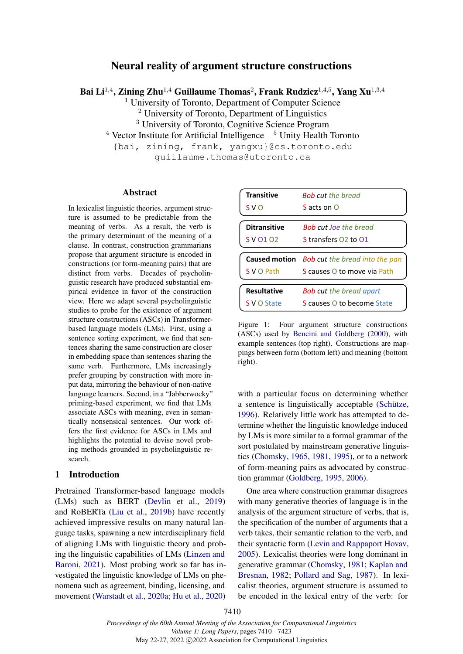# Neural reality of argument structure constructions

Bai Li $^{1,4}$ , Zining Zhu $^{1,4}$  Guillaume Thomas $^2$ , Frank Rudzicz $^{1,4,5}$ , Yang Xu $^{1,3,4}$ 

<sup>1</sup> University of Toronto, Department of Computer Science

<sup>2</sup> University of Toronto, Department of Linguistics

<sup>3</sup> University of Toronto, Cognitive Science Program

 $4$  Vector Institute for Artificial Intelligence  $5$  Unity Health Toronto

{bai, zining, frank, yangxu}@cs.toronto.edu

guillaume.thomas@utoronto.ca

## Abstract

In lexicalist linguistic theories, argument structure is assumed to be predictable from the meaning of verbs. As a result, the verb is the primary determinant of the meaning of a clause. In contrast, construction grammarians propose that argument structure is encoded in constructions (or form-meaning pairs) that are distinct from verbs. Decades of psycholinguistic research have produced substantial empirical evidence in favor of the construction view. Here we adapt several psycholinguistic studies to probe for the existence of argument structure constructions (ASCs) in Transformerbased language models (LMs). First, using a sentence sorting experiment, we find that sentences sharing the same construction are closer in embedding space than sentences sharing the same verb. Furthermore, LMs increasingly prefer grouping by construction with more input data, mirroring the behaviour of non-native language learners. Second, in a "Jabberwocky" priming-based experiment, we find that LMs associate ASCs with meaning, even in semantically nonsensical sentences. Our work offers the first evidence for ASCs in LMs and highlights the potential to devise novel probing methods grounded in psycholinguistic research.

## 1 Introduction

Pretrained Transformer-based language models (LMs) such as BERT [\(Devlin et al.,](#page-8-0) [2019\)](#page-8-0) and RoBERTa [\(Liu et al.,](#page-10-0) [2019b\)](#page-10-0) have recently achieved impressive results on many natural language tasks, spawning a new interdisciplinary field of aligning LMs with linguistic theory and probing the linguistic capabilities of LMs [\(Linzen and](#page-10-1) [Baroni,](#page-10-1) [2021\)](#page-10-1). Most probing work so far has investigated the linguistic knowledge of LMs on phenomena such as agreement, binding, licensing, and movement [\(Warstadt et al.,](#page-10-2) [2020a;](#page-10-2) [Hu et al.,](#page-9-0) [2020\)](#page-9-0)

<span id="page-0-0"></span>

| <b>Transitive</b>   | <b>Bob cut the bread</b>                                                    |
|---------------------|-----------------------------------------------------------------------------|
| S V O               | S acts on $\Omega$                                                          |
| <b>Ditransitive</b> | <b>Bob cut Joe the bread</b>                                                |
| S V 01 02           | S transfers 02 to 01                                                        |
|                     |                                                                             |
|                     |                                                                             |
| S V O Path          | Caused motion Bob cut the bread into the pan<br>S causes O to move via Path |
| <b>Resultative</b>  | <b>Bob cut the bread apart</b>                                              |

Figure 1: Four argument structure constructions (ASCs) used by [Bencini and Goldberg](#page-8-1) [\(2000\)](#page-8-1), with example sentences (top right). Constructions are mappings between form (bottom left) and meaning (bottom right).

with a particular focus on determining whether a sentence is linguistically acceptable [\(Schütze,](#page-10-3) [1996\)](#page-10-3). Relatively little work has attempted to determine whether the linguistic knowledge induced by LMs is more similar to a formal grammar of the sort postulated by mainstream generative linguistics [\(Chomsky,](#page-8-2) [1965,](#page-8-2) [1981,](#page-8-3) [1995\)](#page-8-4), or to a network of form-meaning pairs as advocated by construction grammar [\(Goldberg,](#page-9-1) [1995,](#page-9-1) [2006\)](#page-9-2).

One area where construction grammar disagrees with many generative theories of language is in the analysis of the argument structure of verbs, that is, the specification of the number of arguments that a verb takes, their semantic relation to the verb, and their syntactic form [\(Levin and Rappaport Hovav,](#page-9-3) [2005\)](#page-9-3). Lexicalist theories were long dominant in generative grammar [\(Chomsky,](#page-8-3) [1981;](#page-8-3) [Kaplan and](#page-9-4) [Bresnan,](#page-9-4) [1982;](#page-9-4) [Pollard and Sag,](#page-10-4) [1987\)](#page-10-4). In lexicalist theories, argument structure is assumed to be encoded in the lexical entry of the verb: for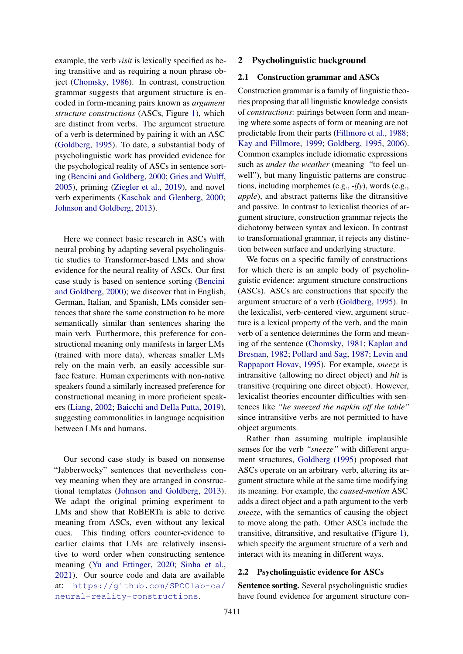example, the verb *visit* is lexically specified as being transitive and as requiring a noun phrase object [\(Chomsky,](#page-8-5) [1986\)](#page-8-5). In contrast, construction grammar suggests that argument structure is encoded in form-meaning pairs known as *argument structure constructions* (ASCs, Figure [1\)](#page-0-0), which are distinct from verbs. The argument structure of a verb is determined by pairing it with an ASC [\(Goldberg,](#page-9-1) [1995\)](#page-9-1). To date, a substantial body of psycholinguistic work has provided evidence for the psychological reality of ASCs in sentence sorting [\(Bencini and Goldberg,](#page-8-1) [2000;](#page-8-1) [Gries and Wulff,](#page-9-5) [2005\)](#page-9-5), priming [\(Ziegler et al.,](#page-11-0) [2019\)](#page-11-0), and novel verb experiments [\(Kaschak and Glenberg,](#page-9-6) [2000;](#page-9-6) [Johnson and Goldberg,](#page-9-7) [2013\)](#page-9-7).

Here we connect basic research in ASCs with neural probing by adapting several psycholinguistic studies to Transformer-based LMs and show evidence for the neural reality of ASCs. Our first case study is based on sentence sorting [\(Bencini](#page-8-1) [and Goldberg,](#page-8-1) [2000\)](#page-8-1); we discover that in English, German, Italian, and Spanish, LMs consider sentences that share the same construction to be more semantically similar than sentences sharing the main verb. Furthermore, this preference for constructional meaning only manifests in larger LMs (trained with more data), whereas smaller LMs rely on the main verb, an easily accessible surface feature. Human experiments with non-native speakers found a similarly increased preference for constructional meaning in more proficient speakers [\(Liang,](#page-9-8) [2002;](#page-9-8) [Baicchi and Della Putta,](#page-8-6) [2019\)](#page-8-6), suggesting commonalities in language acquisition between LMs and humans.

Our second case study is based on nonsense "Jabberwocky" sentences that nevertheless convey meaning when they are arranged in constructional templates [\(Johnson and Goldberg,](#page-9-7) [2013\)](#page-9-7). We adapt the original priming experiment to LMs and show that RoBERTa is able to derive meaning from ASCs, even without any lexical cues. This finding offers counter-evidence to earlier claims that LMs are relatively insensitive to word order when constructing sentence meaning [\(Yu and Ettinger,](#page-11-1) [2020;](#page-11-1) [Sinha et al.,](#page-10-5) [2021\)](#page-10-5). Our source code and data are available at: [https://github.com/SPOClab-ca/](https://github.com/SPOClab-ca/neural-reality-constructions) [neural-reality-constructions](https://github.com/SPOClab-ca/neural-reality-constructions).

### 2 Psycholinguistic background

### 2.1 Construction grammar and ASCs

Construction grammar is a family of linguistic theories proposing that all linguistic knowledge consists of *constructions*: pairings between form and meaning where some aspects of form or meaning are not predictable from their parts [\(Fillmore et al.,](#page-9-9) [1988;](#page-9-9) [Kay and Fillmore,](#page-9-10) [1999;](#page-9-10) [Goldberg,](#page-9-1) [1995,](#page-9-1) [2006\)](#page-9-2). Common examples include idiomatic expressions such as *under the weather* (meaning "to feel unwell"), but many linguistic patterns are constructions, including morphemes (e.g., *-ify*), words (e.g., *apple*), and abstract patterns like the ditransitive and passive. In contrast to lexicalist theories of argument structure, construction grammar rejects the dichotomy between syntax and lexicon. In contrast to transformational grammar, it rejects any distinction between surface and underlying structure.

We focus on a specific family of constructions for which there is an ample body of psycholinguistic evidence: argument structure constructions (ASCs). ASCs are constructions that specify the argument structure of a verb [\(Goldberg,](#page-9-1) [1995\)](#page-9-1). In the lexicalist, verb-centered view, argument structure is a lexical property of the verb, and the main verb of a sentence determines the form and meaning of the sentence [\(Chomsky,](#page-8-3) [1981;](#page-8-3) [Kaplan and](#page-9-4) [Bresnan,](#page-9-4) [1982;](#page-9-4) [Pollard and Sag,](#page-10-4) [1987;](#page-10-4) [Levin and](#page-9-11) [Rappaport Hovav,](#page-9-11) [1995\)](#page-9-11). For example, *sneeze* is intransitive (allowing no direct object) and *hit* is transitive (requiring one direct object). However, lexicalist theories encounter difficulties with sentences like *"he sneezed the napkin off the table"* since intransitive verbs are not permitted to have object arguments.

Rather than assuming multiple implausible senses for the verb *"sneeze"* with different argument structures, [Goldberg](#page-9-1) [\(1995\)](#page-9-1) proposed that ASCs operate on an arbitrary verb, altering its argument structure while at the same time modifying its meaning. For example, the *caused-motion* ASC adds a direct object and a path argument to the verb *sneeze*, with the semantics of causing the object to move along the path. Other ASCs include the transitive, ditransitive, and resultative (Figure [1\)](#page-0-0), which specify the argument structure of a verb and interact with its meaning in different ways.

#### 2.2 Psycholinguistic evidence for ASCs

Sentence sorting. Several psycholinguistic studies have found evidence for argument structure con-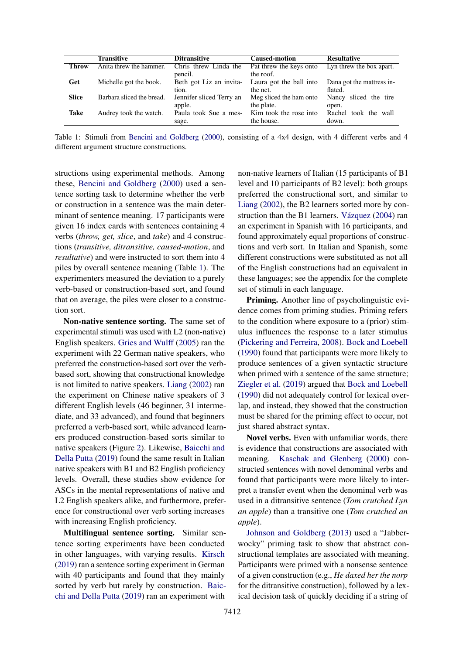<span id="page-2-0"></span>

|              | <b>Transitive</b>         | <b>Ditransitive</b>                | <b>Caused-motion</b>                  | <b>Resultative</b>                   |
|--------------|---------------------------|------------------------------------|---------------------------------------|--------------------------------------|
| <b>Throw</b> | Anita threw the hammer.   | Chris threw Linda the<br>pencil.   | Pat threw the keys onto<br>the roof.  | Lyn threw the box apart.             |
| Get          | Michelle got the book.    | Beth got Liz an invita-<br>tion.   | Laura got the ball into<br>the net.   | Dana got the mattress in-<br>flated. |
| <b>Slice</b> | Barbara sliced the bread. | Jennifer sliced Terry an<br>apple. | Meg sliced the ham onto<br>the plate. | Nancy sliced the tire<br>open.       |
| Take         | Audrey took the watch.    | Paula took Sue a mes-<br>sage.     | Kim took the rose into<br>the house.  | Rachel took the wall<br>down.        |

Table 1: Stimuli from [Bencini and Goldberg](#page-8-1) [\(2000\)](#page-8-1), consisting of a 4x4 design, with 4 different verbs and 4 different argument structure constructions.

structions using experimental methods. Among these, [Bencini and Goldberg](#page-8-1) [\(2000\)](#page-8-1) used a sentence sorting task to determine whether the verb or construction in a sentence was the main determinant of sentence meaning. 17 participants were given 16 index cards with sentences containing 4 verbs (*throw, get, slice*, and *take*) and 4 constructions (*transitive, ditransitive, caused-motion*, and *resultative*) and were instructed to sort them into 4 piles by overall sentence meaning (Table [1\)](#page-2-0). The experimenters measured the deviation to a purely verb-based or construction-based sort, and found that on average, the piles were closer to a construction sort.

Non-native sentence sorting. The same set of experimental stimuli was used with L2 (non-native) English speakers. [Gries and Wulff](#page-9-5) [\(2005\)](#page-9-5) ran the experiment with 22 German native speakers, who preferred the construction-based sort over the verbbased sort, showing that constructional knowledge is not limited to native speakers. [Liang](#page-9-8) [\(2002\)](#page-9-8) ran the experiment on Chinese native speakers of 3 different English levels (46 beginner, 31 intermediate, and 33 advanced), and found that beginners preferred a verb-based sort, while advanced learners produced construction-based sorts similar to native speakers (Figure [2\)](#page-4-0). Likewise, [Baicchi and](#page-8-6) [Della Putta](#page-8-6) [\(2019\)](#page-8-6) found the same result in Italian native speakers with B1 and B2 English proficiency levels. Overall, these studies show evidence for ASCs in the mental representations of native and L2 English speakers alike, and furthermore, preference for constructional over verb sorting increases with increasing English proficiency.

Multilingual sentence sorting. Similar sentence sorting experiments have been conducted in other languages, with varying results. [Kirsch](#page-9-12) [\(2019\)](#page-9-12) ran a sentence sorting experiment in German with 40 participants and found that they mainly sorted by verb but rarely by construction. [Baic](#page-8-6)[chi and Della Putta](#page-8-6) [\(2019\)](#page-8-6) ran an experiment with

non-native learners of Italian (15 participants of B1 level and 10 participants of B2 level): both groups preferred the constructional sort, and similar to [Liang](#page-9-8) [\(2002\)](#page-9-8), the B2 learners sorted more by construction than the B1 learners. [Vázquez](#page-10-6) [\(2004\)](#page-10-6) ran an experiment in Spanish with 16 participants, and found approximately equal proportions of constructions and verb sort. In Italian and Spanish, some different constructions were substituted as not all of the English constructions had an equivalent in these languages; see the appendix for the complete set of stimuli in each language.

Priming. Another line of psycholinguistic evidence comes from priming studies. Priming refers to the condition where exposure to a (prior) stimulus influences the response to a later stimulus [\(Pickering and Ferreira,](#page-10-7) [2008\)](#page-10-7). [Bock and Loebell](#page-8-7) [\(1990\)](#page-8-7) found that participants were more likely to produce sentences of a given syntactic structure when primed with a sentence of the same structure; [Ziegler et al.](#page-11-0) [\(2019\)](#page-11-0) argued that [Bock and Loebell](#page-8-7) [\(1990\)](#page-8-7) did not adequately control for lexical overlap, and instead, they showed that the construction must be shared for the priming effect to occur, not just shared abstract syntax.

Novel verbs. Even with unfamiliar words, there is evidence that constructions are associated with meaning. [Kaschak and Glenberg](#page-9-6) [\(2000\)](#page-9-6) constructed sentences with novel denominal verbs and found that participants were more likely to interpret a transfer event when the denominal verb was used in a ditransitive sentence (*Tom crutched Lyn an apple*) than a transitive one (*Tom crutched an apple*).

[Johnson and Goldberg](#page-9-7) [\(2013\)](#page-9-7) used a "Jabberwocky" priming task to show that abstract constructional templates are associated with meaning. Participants were primed with a nonsense sentence of a given construction (e.g., *He daxed her the norp* for the ditransitive construction), followed by a lexical decision task of quickly deciding if a string of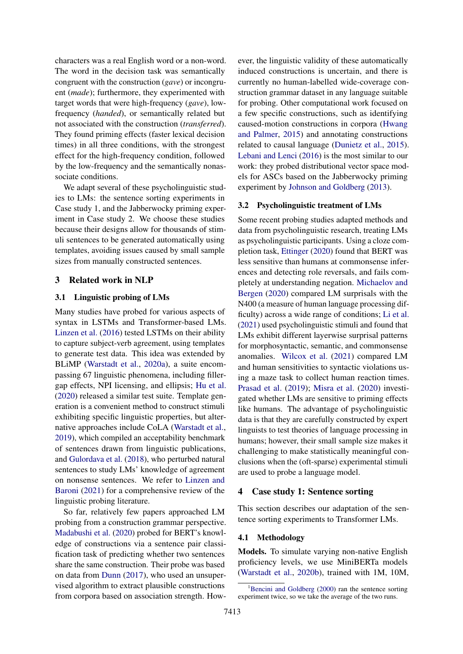characters was a real English word or a non-word. The word in the decision task was semantically congruent with the construction (*gave*) or incongruent (*made*); furthermore, they experimented with target words that were high-frequency (*gave*), lowfrequency (*handed*), or semantically related but not associated with the construction (*transferred*). They found priming effects (faster lexical decision times) in all three conditions, with the strongest effect for the high-frequency condition, followed by the low-frequency and the semantically nonassociate conditions.

We adapt several of these psycholinguistic studies to LMs: the sentence sorting experiments in Case study 1, and the Jabberwocky priming experiment in Case study 2. We choose these studies because their designs allow for thousands of stimuli sentences to be generated automatically using templates, avoiding issues caused by small sample sizes from manually constructed sentences.

### 3 Related work in NLP

#### 3.1 Linguistic probing of LMs

Many studies have probed for various aspects of syntax in LSTMs and Transformer-based LMs. [Linzen et al.](#page-10-8) [\(2016\)](#page-10-8) tested LSTMs on their ability to capture subject-verb agreement, using templates to generate test data. This idea was extended by BLiMP [\(Warstadt et al.,](#page-10-2) [2020a\)](#page-10-2), a suite encompassing 67 linguistic phenomena, including fillergap effects, NPI licensing, and ellipsis; [Hu et al.](#page-9-0) [\(2020\)](#page-9-0) released a similar test suite. Template generation is a convenient method to construct stimuli exhibiting specific linguistic properties, but alternative approaches include CoLA [\(Warstadt et al.,](#page-10-9) [2019\)](#page-10-9), which compiled an acceptability benchmark of sentences drawn from linguistic publications, and [Gulordava et al.](#page-9-13) [\(2018\)](#page-9-13), who perturbed natural sentences to study LMs' knowledge of agreement on nonsense sentences. We refer to [Linzen and](#page-10-1) [Baroni](#page-10-1) [\(2021\)](#page-10-1) for a comprehensive review of the linguistic probing literature.

So far, relatively few papers approached LM probing from a construction grammar perspective. [Madabushi et al.](#page-10-10) [\(2020\)](#page-10-10) probed for BERT's knowledge of constructions via a sentence pair classification task of predicting whether two sentences share the same construction. Their probe was based on data from [Dunn](#page-8-8) [\(2017\)](#page-8-8), who used an unsupervised algorithm to extract plausible constructions from corpora based on association strength. However, the linguistic validity of these automatically induced constructions is uncertain, and there is currently no human-labelled wide-coverage construction grammar dataset in any language suitable for probing. Other computational work focused on a few specific constructions, such as identifying caused-motion constructions in corpora [\(Hwang](#page-9-14) [and Palmer,](#page-9-14) [2015\)](#page-9-14) and annotating constructions related to causal language [\(Dunietz et al.,](#page-8-9) [2015\)](#page-8-9). [Lebani and Lenci](#page-9-15) [\(2016\)](#page-9-15) is the most similar to our work: they probed distributional vector space models for ASCs based on the Jabberwocky priming experiment by [Johnson and Goldberg](#page-9-7) [\(2013\)](#page-9-7).

#### 3.2 Psycholinguistic treatment of LMs

Some recent probing studies adapted methods and data from psycholinguistic research, treating LMs as psycholinguistic participants. Using a cloze completion task, [Ettinger](#page-9-16) [\(2020\)](#page-9-16) found that BERT was less sensitive than humans at commonsense inferences and detecting role reversals, and fails completely at understanding negation. [Michaelov and](#page-10-11) [Bergen](#page-10-11) [\(2020\)](#page-10-11) compared LM surprisals with the N400 (a measure of human language processing difficulty) across a wide range of conditions; [Li et al.](#page-9-17) [\(2021\)](#page-9-17) used psycholinguistic stimuli and found that LMs exhibit different layerwise surprisal patterns for morphosyntactic, semantic, and commonsense anomalies. [Wilcox et al.](#page-11-2) [\(2021\)](#page-11-2) compared LM and human sensitivities to syntactic violations using a maze task to collect human reaction times. [Prasad et al.](#page-10-12) [\(2019\)](#page-10-12); [Misra et al.](#page-10-13) [\(2020\)](#page-10-13) investigated whether LMs are sensitive to priming effects like humans. The advantage of psycholinguistic data is that they are carefully constructed by expert linguists to test theories of language processing in humans; however, their small sample size makes it challenging to make statistically meaningful conclusions when the (oft-sparse) experimental stimuli are used to probe a language model.

## 4 Case study 1: Sentence sorting

This section describes our adaptation of the sentence sorting experiments to Transformer LMs.

#### 4.1 Methodology

Models. To simulate varying non-native English proficiency levels, we use MiniBERTa models [\(Warstadt et al.,](#page-10-14) [2020b\)](#page-10-14), trained with 1M, 10M,

<span id="page-3-0"></span> ${}^{1}$ [Bencini and Goldberg](#page-8-1) [\(2000\)](#page-8-1) ran the sentence sorting experiment twice, so we take the average of the two runs.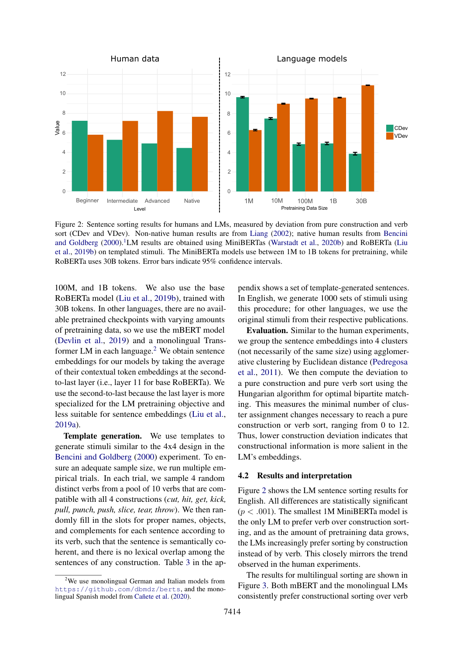<span id="page-4-0"></span>

Figure 2: Sentence sorting results for humans and LMs, measured by deviation from pure construction and verb sort (CDev and VDev). Non-native human results are from [Liang](#page-9-8) [\(2002\)](#page-9-8); native human results from [Bencini](#page-8-1) [and Goldberg](#page-8-1) [\(2000\)](#page-8-1).<sup>[1](#page-3-0)</sup>LM results are obtained using MiniBERTas [\(Warstadt et al.,](#page-10-14) [2020b\)](#page-10-14) and RoBERTa [\(Liu](#page-10-0) [et al.,](#page-10-0) [2019b\)](#page-10-0) on templated stimuli. The MiniBERTa models use between 1M to 1B tokens for pretraining, while RoBERTa uses 30B tokens. Error bars indicate 95% confidence intervals.

100M, and 1B tokens. We also use the base RoBERTa model [\(Liu et al.,](#page-10-0) [2019b\)](#page-10-0), trained with 30B tokens. In other languages, there are no available pretrained checkpoints with varying amounts of pretraining data, so we use the mBERT model [\(Devlin et al.,](#page-8-0) [2019\)](#page-8-0) and a monolingual Transformer LM in each language. $<sup>2</sup>$  $<sup>2</sup>$  $<sup>2</sup>$  We obtain sentence</sup> embeddings for our models by taking the average of their contextual token embeddings at the secondto-last layer (i.e., layer 11 for base RoBERTa). We use the second-to-last because the last layer is more specialized for the LM pretraining objective and less suitable for sentence embeddings [\(Liu et al.,](#page-10-15) [2019a\)](#page-10-15).

Template generation. We use templates to generate stimuli similar to the 4x4 design in the [Bencini and Goldberg](#page-8-1) [\(2000\)](#page-8-1) experiment. To ensure an adequate sample size, we run multiple empirical trials. In each trial, we sample 4 random distinct verbs from a pool of 10 verbs that are compatible with all 4 constructions (*cut, hit, get, kick, pull, punch, push, slice, tear, throw*). We then randomly fill in the slots for proper names, objects, and complements for each sentence according to its verb, such that the sentence is semantically coherent, and there is no lexical overlap among the sentences of any construction. Table [3](#page-13-0) in the appendix shows a set of template-generated sentences. In English, we generate 1000 sets of stimuli using this procedure; for other languages, we use the original stimuli from their respective publications.

Evaluation. Similar to the human experiments, we group the sentence embeddings into 4 clusters (not necessarily of the same size) using agglomerative clustering by Euclidean distance [\(Pedregosa](#page-10-16) [et al.,](#page-10-16) [2011\)](#page-10-16). We then compute the deviation to a pure construction and pure verb sort using the Hungarian algorithm for optimal bipartite matching. This measures the minimal number of cluster assignment changes necessary to reach a pure construction or verb sort, ranging from 0 to 12. Thus, lower construction deviation indicates that constructional information is more salient in the LM's embeddings.

### 4.2 Results and interpretation

Figure [2](#page-4-0) shows the LM sentence sorting results for English. All differences are statistically significant  $(p < .001)$ . The smallest 1M MiniBERTa model is the only LM to prefer verb over construction sorting, and as the amount of pretraining data grows, the LMs increasingly prefer sorting by construction instead of by verb. This closely mirrors the trend observed in the human experiments.

The results for multilingual sorting are shown in Figure [3.](#page-5-0) Both mBERT and the monolingual LMs consistently prefer constructional sorting over verb

<span id="page-4-1"></span> $2$ We use monolingual German and Italian models from <https://github.com/dbmdz/berts>, and the monolingual Spanish model from [Cañete et al.](#page-8-10) [\(2020\)](#page-8-10).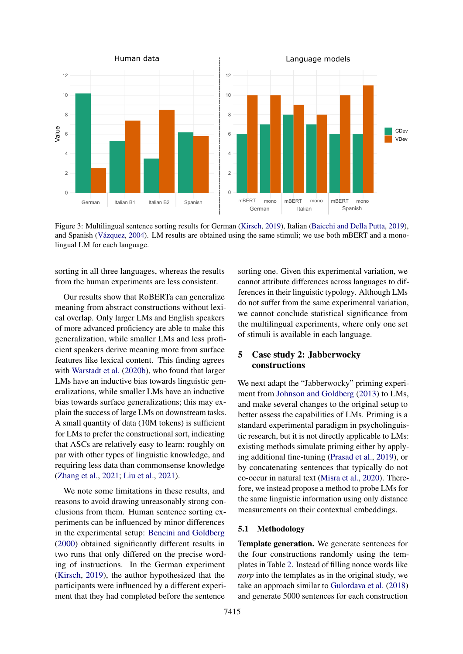<span id="page-5-0"></span>

Figure 3: Multilingual sentence sorting results for German [\(Kirsch,](#page-9-12) [2019\)](#page-9-12), Italian [\(Baicchi and Della Putta,](#page-8-6) [2019\)](#page-8-6), and Spanish [\(Vázquez,](#page-10-6) [2004\)](#page-10-6). LM results are obtained using the same stimuli; we use both mBERT and a monolingual LM for each language.

sorting in all three languages, whereas the results from the human experiments are less consistent.

Our results show that RoBERTa can generalize meaning from abstract constructions without lexical overlap. Only larger LMs and English speakers of more advanced proficiency are able to make this generalization, while smaller LMs and less proficient speakers derive meaning more from surface features like lexical content. This finding agrees with [Warstadt et al.](#page-10-14) [\(2020b\)](#page-10-14), who found that larger LMs have an inductive bias towards linguistic generalizations, while smaller LMs have an inductive bias towards surface generalizations; this may explain the success of large LMs on downstream tasks. A small quantity of data (10M tokens) is sufficient for LMs to prefer the constructional sort, indicating that ASCs are relatively easy to learn: roughly on par with other types of linguistic knowledge, and requiring less data than commonsense knowledge [\(Zhang et al.,](#page-11-3) [2021;](#page-11-3) [Liu et al.,](#page-10-17) [2021\)](#page-10-17).

We note some limitations in these results, and reasons to avoid drawing unreasonably strong conclusions from them. Human sentence sorting experiments can be influenced by minor differences in the experimental setup: [Bencini and Goldberg](#page-8-1) [\(2000\)](#page-8-1) obtained significantly different results in two runs that only differed on the precise wording of instructions. In the German experiment [\(Kirsch,](#page-9-12) [2019\)](#page-9-12), the author hypothesized that the participants were influenced by a different experiment that they had completed before the sentence

sorting one. Given this experimental variation, we cannot attribute differences across languages to differences in their linguistic typology. Although LMs do not suffer from the same experimental variation, we cannot conclude statistical significance from the multilingual experiments, where only one set of stimuli is available in each language.

# 5 Case study 2: Jabberwocky constructions

We next adapt the "Jabberwocky" priming experiment from [Johnson and Goldberg](#page-9-7) [\(2013\)](#page-9-7) to LMs, and make several changes to the original setup to better assess the capabilities of LMs. Priming is a standard experimental paradigm in psycholinguistic research, but it is not directly applicable to LMs: existing methods simulate priming either by applying additional fine-tuning [\(Prasad et al.,](#page-10-12) [2019\)](#page-10-12), or by concatenating sentences that typically do not co-occur in natural text [\(Misra et al.,](#page-10-13) [2020\)](#page-10-13). Therefore, we instead propose a method to probe LMs for the same linguistic information using only distance measurements on their contextual embeddings.

### 5.1 Methodology

Template generation. We generate sentences for the four constructions randomly using the templates in Table [2.](#page-6-0) Instead of filling nonce words like *norp* into the templates as in the original study, we take an approach similar to [Gulordava et al.](#page-9-13) [\(2018\)](#page-9-13) and generate 5000 sentences for each construction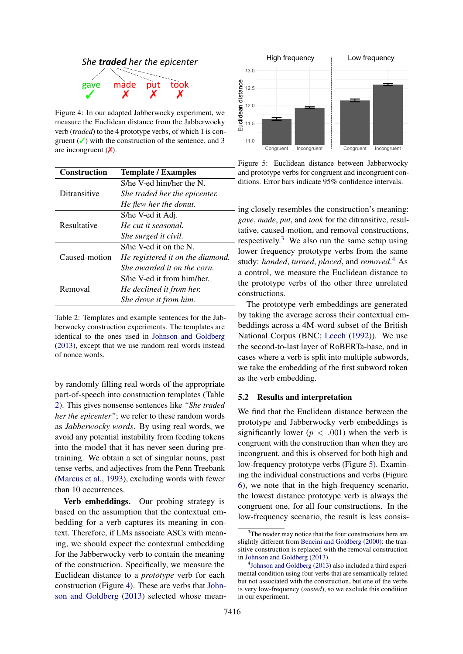<span id="page-6-1"></span>

Figure 4: In our adapted Jabberwocky experiment, we measure the Euclidean distance from the Jabberwocky verb (*traded*) to the 4 prototype verbs, of which 1 is congruent  $(\checkmark)$  with the construction of the sentence, and 3 are incongruent  $(X)$ .

<span id="page-6-0"></span>

| <b>Construction</b> | <b>Template / Examples</b>       |  |  |
|---------------------|----------------------------------|--|--|
|                     | S/he V-ed him/her the N.         |  |  |
| Ditransitive        | She traded her the epicenter.    |  |  |
|                     | He flew her the donut.           |  |  |
|                     | S/he V-ed it Adj.                |  |  |
| Resultative         | He cut it seasonal.              |  |  |
|                     | She surged it civil.             |  |  |
|                     | $S$ /he V-ed it on the N.        |  |  |
| Caused-motion       | He registered it on the diamond. |  |  |
|                     | She awarded it on the corn.      |  |  |
|                     | S/he V-ed it from him/her.       |  |  |
| Removal             | He declined it from her.         |  |  |
|                     | She drove it from him.           |  |  |

Table 2: Templates and example sentences for the Jabberwocky construction experiments. The templates are identical to the ones used in [Johnson and Goldberg](#page-9-7) [\(2013\)](#page-9-7), except that we use random real words instead of nonce words.

by randomly filling real words of the appropriate part-of-speech into construction templates (Table [2\)](#page-6-0). This gives nonsense sentences like *"She traded her the epicenter"*; we refer to these random words as *Jabberwocky words*. By using real words, we avoid any potential instability from feeding tokens into the model that it has never seen during pretraining. We obtain a set of singular nouns, past tense verbs, and adjectives from the Penn Treebank [\(Marcus et al.,](#page-10-18) [1993\)](#page-10-18), excluding words with fewer than 10 occurrences.

Verb embeddings. Our probing strategy is based on the assumption that the contextual embedding for a verb captures its meaning in context. Therefore, if LMs associate ASCs with meaning, we should expect the contextual embedding for the Jabberwocky verb to contain the meaning of the construction. Specifically, we measure the Euclidean distance to a *prototype* verb for each construction (Figure [4\)](#page-6-1). These are verbs that [John](#page-9-7)[son and Goldberg](#page-9-7) [\(2013\)](#page-9-7) selected whose mean-

<span id="page-6-4"></span>

Figure 5: Euclidean distance between Jabberwocky and prototype verbs for congruent and incongruent conditions. Error bars indicate 95% confidence intervals.

- ing closely resembles the construction's meaning: *gave*, *made*, *put*, and *took* for the ditransitive, resultative, caused-motion, and removal constructions, – respectively.<sup>[3](#page-6-2)</sup> We also run the same setup using lower frequency prototype verbs from the same study: *handed*, *turned*, *placed*, and *removed*. [4](#page-6-3) As a control, we measure the Euclidean distance to the prototype verbs of the other three unrelated constructions.

The prototype verb embeddings are generated by taking the average across their contextual embeddings across a 4M-word subset of the British National Corpus (BNC; [Leech](#page-9-18) [\(1992\)](#page-9-18)). We use the second-to-last layer of RoBERTa-base, and in cases where a verb is split into multiple subwords, we take the embedding of the first subword token as the verb embedding.

### 5.2 Results and interpretation

We find that the Euclidean distance between the prototype and Jabberwocky verb embeddings is significantly lower ( $p < .001$ ) when the verb is congruent with the construction than when they are incongruent, and this is observed for both high and low-frequency prototype verbs (Figure [5\)](#page-6-4). Examining the individual constructions and verbs (Figure [6\)](#page-7-0), we note that in the high-frequency scenario, the lowest distance prototype verb is always the congruent one, for all four constructions. In the low-frequency scenario, the result is less consis-

<span id="page-6-2"></span><sup>&</sup>lt;sup>3</sup>The reader may notice that the four constructions here are slightly different from [Bencini and Goldberg](#page-8-1) [\(2000\)](#page-8-1): the transitive construction is replaced with the removal construction in [Johnson and Goldberg](#page-9-7) [\(2013\)](#page-9-7).

<span id="page-6-3"></span><sup>4</sup> [Johnson and Goldberg](#page-9-7) [\(2013\)](#page-9-7) also included a third experimental condition using four verbs that are semantically related but not associated with the construction, but one of the verbs is very low-frequency (*ousted*), so we exclude this condition in our experiment.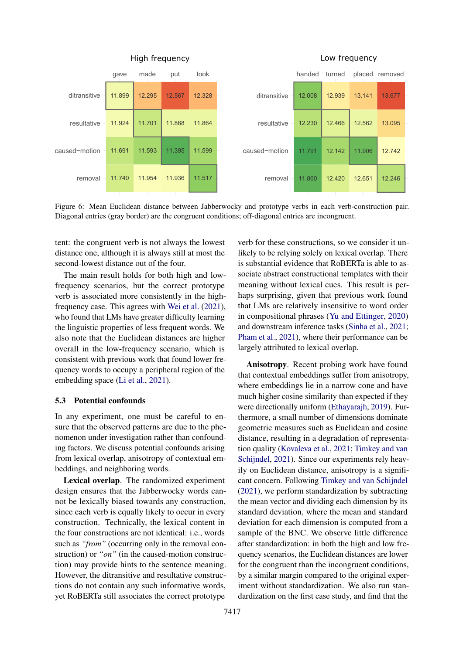<span id="page-7-0"></span>

Figure 6: Mean Euclidean distance between Jabberwocky and prototype verbs in each verb-construction pair. Diagonal entries (gray border) are the congruent conditions; off-diagonal entries are incongruent.

tent: the congruent verb is not always the lowest distance one, although it is always still at most the second-lowest distance out of the four.

The main result holds for both high and lowfrequency scenarios, but the correct prototype verb is associated more consistently in the highfrequency case. This agrees with [Wei et al.](#page-10-19) [\(2021\)](#page-10-19), who found that LMs have greater difficulty learning the linguistic properties of less frequent words. We also note that the Euclidean distances are higher overall in the low-frequency scenario, which is consistent with previous work that found lower frequency words to occupy a peripheral region of the embedding space [\(Li et al.,](#page-9-17) [2021\)](#page-9-17).

#### 5.3 Potential confounds

In any experiment, one must be careful to ensure that the observed patterns are due to the phenomenon under investigation rather than confounding factors. We discuss potential confounds arising from lexical overlap, anisotropy of contextual embeddings, and neighboring words.

Lexical overlap. The randomized experiment design ensures that the Jabberwocky words cannot be lexically biased towards any construction, since each verb is equally likely to occur in every construction. Technically, the lexical content in the four constructions are not identical: i.e., words such as *"from"* (occurring only in the removal construction) or *"on"* (in the caused-motion construction) may provide hints to the sentence meaning. However, the ditransitive and resultative constructions do not contain any such informative words, yet RoBERTa still associates the correct prototype

verb for these constructions, so we consider it unlikely to be relying solely on lexical overlap. There is substantial evidence that RoBERTa is able to associate abstract constructional templates with their meaning without lexical cues. This result is perhaps surprising, given that previous work found that LMs are relatively insensitive to word order in compositional phrases [\(Yu and Ettinger,](#page-11-1) [2020\)](#page-11-1) and downstream inference tasks [\(Sinha et al.,](#page-10-5) [2021;](#page-10-5) [Pham et al.,](#page-10-20) [2021\)](#page-10-20), where their performance can be largely attributed to lexical overlap.

Anisotropy. Recent probing work have found that contextual embeddings suffer from anisotropy, where embeddings lie in a narrow cone and have much higher cosine similarity than expected if they were directionally uniform [\(Ethayarajh,](#page-9-19) [2019\)](#page-9-19). Furthermore, a small number of dimensions dominate geometric measures such as Euclidean and cosine distance, resulting in a degradation of representation quality [\(Kovaleva et al.,](#page-9-20) [2021;](#page-9-20) [Timkey and van](#page-10-21) [Schijndel,](#page-10-21) [2021\)](#page-10-21). Since our experiments rely heavily on Euclidean distance, anisotropy is a significant concern. Following [Timkey and van Schijndel](#page-10-21) [\(2021\)](#page-10-21), we perform standardization by subtracting the mean vector and dividing each dimension by its standard deviation, where the mean and standard deviation for each dimension is computed from a sample of the BNC. We observe little difference after standardization: in both the high and low frequency scenarios, the Euclidean distances are lower for the congruent than the incongruent conditions, by a similar margin compared to the original experiment without standardization. We also run standardization on the first case study, and find that the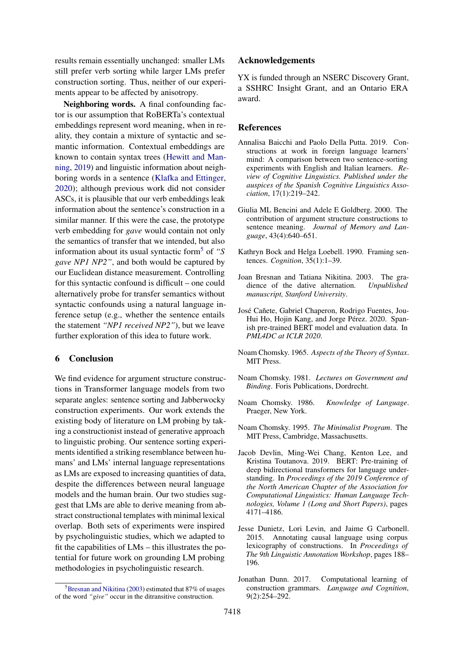results remain essentially unchanged: smaller LMs still prefer verb sorting while larger LMs prefer construction sorting. Thus, neither of our experiments appear to be affected by anisotropy.

Neighboring words. A final confounding factor is our assumption that RoBERTa's contextual embeddings represent word meaning, when in reality, they contain a mixture of syntactic and semantic information. Contextual embeddings are known to contain syntax trees [\(Hewitt and Man](#page-9-21)[ning,](#page-9-21) [2019\)](#page-9-21) and linguistic information about neighboring words in a sentence [\(Klafka and Ettinger,](#page-9-22) [2020\)](#page-9-22); although previous work did not consider ASCs, it is plausible that our verb embeddings leak information about the sentence's construction in a similar manner. If this were the case, the prototype verb embedding for *gave* would contain not only the semantics of transfer that we intended, but also information about its usual syntactic form[5](#page-8-11) of *"S gave NP1 NP2"*, and both would be captured by our Euclidean distance measurement. Controlling for this syntactic confound is difficult – one could alternatively probe for transfer semantics without syntactic confounds using a natural language inference setup (e.g., whether the sentence entails the statement *"NP1 received NP2"*), but we leave further exploration of this idea to future work.

## 6 Conclusion

We find evidence for argument structure constructions in Transformer language models from two separate angles: sentence sorting and Jabberwocky construction experiments. Our work extends the existing body of literature on LM probing by taking a constructionist instead of generative approach to linguistic probing. Our sentence sorting experiments identified a striking resemblance between humans' and LMs' internal language representations as LMs are exposed to increasing quantities of data, despite the differences between neural language models and the human brain. Our two studies suggest that LMs are able to derive meaning from abstract constructional templates with minimal lexical overlap. Both sets of experiments were inspired by psycholinguistic studies, which we adapted to fit the capabilities of LMs – this illustrates the potential for future work on grounding LM probing methodologies in psycholinguistic research.

#### Acknowledgements

YX is funded through an NSERC Discovery Grant, a SSHRC Insight Grant, and an Ontario ERA award.

## References

- <span id="page-8-6"></span>Annalisa Baicchi and Paolo Della Putta. 2019. Constructions at work in foreign language learners' mind: A comparison between two sentence-sorting experiments with English and Italian learners. *Review of Cognitive Linguistics. Published under the auspices of the Spanish Cognitive Linguistics Association*, 17(1):219–242.
- <span id="page-8-1"></span>Giulia ML Bencini and Adele E Goldberg. 2000. The contribution of argument structure constructions to sentence meaning. *Journal of Memory and Language*, 43(4):640–651.
- <span id="page-8-7"></span>Kathryn Bock and Helga Loebell. 1990. Framing sentences. *Cognition*, 35(1):1–39.
- <span id="page-8-12"></span>Joan Bresnan and Tatiana Nikitina. 2003. The gradience of the dative alternation. *Unpublished manuscript, Stanford University*.
- <span id="page-8-10"></span>José Cañete, Gabriel Chaperon, Rodrigo Fuentes, Jou-Hui Ho, Hojin Kang, and Jorge Pérez. 2020. Spanish pre-trained BERT model and evaluation data. In *PML4DC at ICLR 2020*.
- <span id="page-8-2"></span>Noam Chomsky. 1965. *Aspects of the Theory of Syntax*. MIT Press.
- <span id="page-8-3"></span>Noam Chomsky. 1981. *Lectures on Government and Binding*. Foris Publications, Dordrecht.
- <span id="page-8-5"></span>Noam Chomsky. 1986. *Knowledge of Language*. Praeger, New York.
- <span id="page-8-4"></span>Noam Chomsky. 1995. *The Minimalist Program*. The MIT Press, Cambridge, Massachusetts.
- <span id="page-8-0"></span>Jacob Devlin, Ming-Wei Chang, Kenton Lee, and Kristina Toutanova. 2019. BERT: Pre-training of deep bidirectional transformers for language understanding. In *Proceedings of the 2019 Conference of the North American Chapter of the Association for Computational Linguistics: Human Language Technologies, Volume 1 (Long and Short Papers)*, pages 4171–4186.
- <span id="page-8-9"></span>Jesse Dunietz, Lori Levin, and Jaime G Carbonell. 2015. Annotating causal language using corpus lexicography of constructions. In *Proceedings of The 9th Linguistic Annotation Workshop*, pages 188– 196.
- <span id="page-8-8"></span>Jonathan Dunn. 2017. Computational learning of construction grammars. *Language and Cognition*, 9(2):254–292.

<span id="page-8-11"></span> ${}^{5}$ [Bresnan and Nikitina](#page-8-12) [\(2003\)](#page-8-12) estimated that 87% of usages of the word *"give"* occur in the ditransitive construction.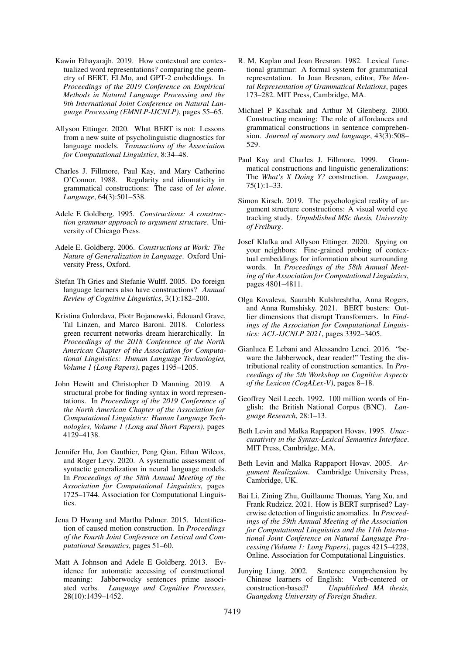- <span id="page-9-19"></span>Kawin Ethayarajh. 2019. How contextual are contextualized word representations? comparing the geometry of BERT, ELMo, and GPT-2 embeddings. In *Proceedings of the 2019 Conference on Empirical Methods in Natural Language Processing and the 9th International Joint Conference on Natural Language Processing (EMNLP-IJCNLP)*, pages 55–65.
- <span id="page-9-16"></span>Allyson Ettinger. 2020. What BERT is not: Lessons from a new suite of psycholinguistic diagnostics for language models. *Transactions of the Association for Computational Linguistics*, 8:34–48.
- <span id="page-9-9"></span>Charles J. Fillmore, Paul Kay, and Mary Catherine O'Connor. 1988. Regularity and idiomaticity in grammatical constructions: The case of *let alone*. *Language*, 64(3):501–538.
- <span id="page-9-1"></span>Adele E Goldberg. 1995. *Constructions: A construction grammar approach to argument structure*. University of Chicago Press.
- <span id="page-9-2"></span>Adele E. Goldberg. 2006. *Constructions at Work: The Nature of Generalization in Language*. Oxford University Press, Oxford.
- <span id="page-9-5"></span>Stefan Th Gries and Stefanie Wulff. 2005. Do foreign language learners also have constructions? *Annual Review of Cognitive Linguistics*, 3(1):182–200.
- <span id="page-9-13"></span>Kristina Gulordava, Piotr Bojanowski, Édouard Grave, Tal Linzen, and Marco Baroni. 2018. Colorless green recurrent networks dream hierarchically. In *Proceedings of the 2018 Conference of the North American Chapter of the Association for Computational Linguistics: Human Language Technologies, Volume 1 (Long Papers)*, pages 1195–1205.
- <span id="page-9-21"></span>John Hewitt and Christopher D Manning. 2019. A structural probe for finding syntax in word representations. In *Proceedings of the 2019 Conference of the North American Chapter of the Association for Computational Linguistics: Human Language Technologies, Volume 1 (Long and Short Papers)*, pages 4129–4138.
- <span id="page-9-0"></span>Jennifer Hu, Jon Gauthier, Peng Qian, Ethan Wilcox, and Roger Levy. 2020. A systematic assessment of syntactic generalization in neural language models. In *Proceedings of the 58th Annual Meeting of the Association for Computational Linguistics*, pages 1725–1744. Association for Computational Linguistics.
- <span id="page-9-14"></span>Jena D Hwang and Martha Palmer. 2015. Identification of caused motion construction. In *Proceedings of the Fourth Joint Conference on Lexical and Computational Semantics*, pages 51–60.
- <span id="page-9-7"></span>Matt A Johnson and Adele E Goldberg. 2013. Evidence for automatic accessing of constructional meaning: Jabberwocky sentences prime associated verbs. *Language and Cognitive Processes*, 28(10):1439–1452.
- <span id="page-9-4"></span>R. M. Kaplan and Joan Bresnan. 1982. Lexical functional grammar: A formal system for grammatical representation. In Joan Bresnan, editor, *The Mental Representation of Grammatical Relations*, pages 173–282. MIT Press, Cambridge, MA.
- <span id="page-9-6"></span>Michael P Kaschak and Arthur M Glenberg. 2000. Constructing meaning: The role of affordances and grammatical constructions in sentence comprehension. *Journal of memory and language*, 43(3):508– 529.
- <span id="page-9-10"></span>Paul Kay and Charles J. Fillmore. 1999. Grammatical constructions and linguistic generalizations: The *What's X Doing Y?* construction. *Language*, 75(1):1–33.
- <span id="page-9-12"></span>Simon Kirsch. 2019. The psychological reality of argument structure constructions: A visual world eve tracking study. *Unpublished MSc thesis, University of Freiburg*.
- <span id="page-9-22"></span>Josef Klafka and Allyson Ettinger. 2020. Spying on your neighbors: Fine-grained probing of contextual embeddings for information about surrounding words. In *Proceedings of the 58th Annual Meeting of the Association for Computational Linguistics*, pages 4801–4811.
- <span id="page-9-20"></span>Olga Kovaleva, Saurabh Kulshreshtha, Anna Rogers, and Anna Rumshisky. 2021. BERT busters: Outlier dimensions that disrupt Transformers. In *Findings of the Association for Computational Linguistics: ACL-IJCNLP 2021*, pages 3392–3405.
- <span id="page-9-15"></span>Gianluca E Lebani and Alessandro Lenci. 2016. "beware the Jabberwock, dear reader!" Testing the distributional reality of construction semantics. In *Proceedings of the 5th Workshop on Cognitive Aspects of the Lexicon (CogALex-V)*, pages 8–18.
- <span id="page-9-18"></span>Geoffrey Neil Leech. 1992. 100 million words of English: the British National Corpus (BNC). *Language Research*, 28:1–13.
- <span id="page-9-11"></span>Beth Levin and Malka Rappaport Hovav. 1995. *Unaccusativity in the Syntax-Lexical Semantics Interface*. MIT Press, Cambridge, MA.
- <span id="page-9-3"></span>Beth Levin and Malka Rappaport Hovav. 2005. *Argument Realization*. Cambridge University Press, Cambridge, UK.
- <span id="page-9-17"></span>Bai Li, Zining Zhu, Guillaume Thomas, Yang Xu, and Frank Rudzicz. 2021. How is BERT surprised? Layerwise detection of linguistic anomalies. In *Proceedings of the 59th Annual Meeting of the Association for Computational Linguistics and the 11th International Joint Conference on Natural Language Processing (Volume 1: Long Papers)*, pages 4215–4228, Online. Association for Computational Linguistics.
- <span id="page-9-8"></span>Junying Liang. 2002. Sentence comprehension by Chinese learners of English: Verb-centered or construction-based? *Unpublished MA thesis, Guangdong University of Foreign Studies*.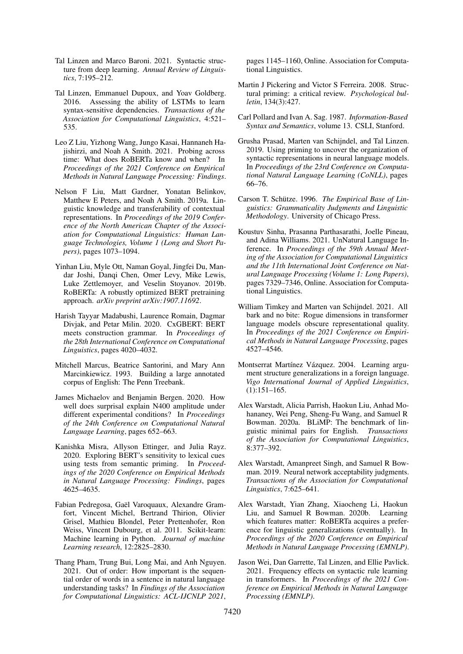- <span id="page-10-1"></span>Tal Linzen and Marco Baroni. 2021. Syntactic structure from deep learning. *Annual Review of Linguistics*, 7:195–212.
- <span id="page-10-8"></span>Tal Linzen, Emmanuel Dupoux, and Yoav Goldberg. 2016. Assessing the ability of LSTMs to learn syntax-sensitive dependencies. *Transactions of the Association for Computational Linguistics*, 4:521– 535.
- <span id="page-10-17"></span>Leo Z Liu, Yizhong Wang, Jungo Kasai, Hannaneh Hajishirzi, and Noah A Smith. 2021. Probing across time: What does RoBERTa know and when? In *Proceedings of the 2021 Conference on Empirical Methods in Natural Language Processing: Findings*.
- <span id="page-10-15"></span>Nelson F Liu, Matt Gardner, Yonatan Belinkov, Matthew E Peters, and Noah A Smith. 2019a. Linguistic knowledge and transferability of contextual representations. In *Proceedings of the 2019 Conference of the North American Chapter of the Association for Computational Linguistics: Human Language Technologies, Volume 1 (Long and Short Papers)*, pages 1073–1094.
- <span id="page-10-0"></span>Yinhan Liu, Myle Ott, Naman Goyal, Jingfei Du, Mandar Joshi, Danqi Chen, Omer Levy, Mike Lewis, Luke Zettlemoyer, and Veselin Stoyanov. 2019b. RoBERTa: A robustly optimized BERT pretraining approach. *arXiv preprint arXiv:1907.11692*.
- <span id="page-10-10"></span>Harish Tayyar Madabushi, Laurence Romain, Dagmar Divjak, and Petar Milin. 2020. CxGBERT: BERT meets construction grammar. In *Proceedings of the 28th International Conference on Computational Linguistics*, pages 4020–4032.
- <span id="page-10-18"></span>Mitchell Marcus, Beatrice Santorini, and Mary Ann Marcinkiewicz. 1993. Building a large annotated corpus of English: The Penn Treebank.
- <span id="page-10-11"></span>James Michaelov and Benjamin Bergen. 2020. How well does surprisal explain N400 amplitude under different experimental conditions? In *Proceedings of the 24th Conference on Computational Natural Language Learning*, pages 652–663.
- <span id="page-10-13"></span>Kanishka Misra, Allyson Ettinger, and Julia Rayz. 2020. Exploring BERT's sensitivity to lexical cues using tests from semantic priming. In *Proceedings of the 2020 Conference on Empirical Methods in Natural Language Processing: Findings*, pages 4625–4635.
- <span id="page-10-16"></span>Fabian Pedregosa, Gaël Varoquaux, Alexandre Gramfort, Vincent Michel, Bertrand Thirion, Olivier Grisel, Mathieu Blondel, Peter Prettenhofer, Ron Weiss, Vincent Dubourg, et al. 2011. Scikit-learn: Machine learning in Python. *Journal of machine Learning research*, 12:2825–2830.
- <span id="page-10-20"></span>Thang Pham, Trung Bui, Long Mai, and Anh Nguyen. 2021. Out of order: How important is the sequential order of words in a sentence in natural language understanding tasks? In *Findings of the Association for Computational Linguistics: ACL-IJCNLP 2021*,

pages 1145–1160, Online. Association for Computational Linguistics.

- <span id="page-10-7"></span>Martin J Pickering and Victor S Ferreira. 2008. Structural priming: a critical review. *Psychological bulletin*, 134(3):427.
- <span id="page-10-4"></span>Carl Pollard and Ivan A. Sag. 1987. *Information-Based Syntax and Semantics*, volume 13. CSLI, Stanford.
- <span id="page-10-12"></span>Grusha Prasad, Marten van Schijndel, and Tal Linzen. 2019. Using priming to uncover the organization of syntactic representations in neural language models. In *Proceedings of the 23rd Conference on Computational Natural Language Learning (CoNLL)*, pages 66–76.
- <span id="page-10-3"></span>Carson T. Schütze. 1996. *The Empirical Base of Linguistics: Grammaticality Judgments and Linguistic Methodology*. University of Chicago Press.
- <span id="page-10-5"></span>Koustuv Sinha, Prasanna Parthasarathi, Joelle Pineau, and Adina Williams. 2021. UnNatural Language Inference. In *Proceedings of the 59th Annual Meeting of the Association for Computational Linguistics and the 11th International Joint Conference on Natural Language Processing (Volume 1: Long Papers)*, pages 7329–7346, Online. Association for Computational Linguistics.
- <span id="page-10-21"></span>William Timkey and Marten van Schijndel. 2021. All bark and no bite: Rogue dimensions in transformer language models obscure representational quality. In *Proceedings of the 2021 Conference on Empirical Methods in Natural Language Processing*, pages 4527–4546.
- <span id="page-10-6"></span>Montserrat Martínez Vázquez. 2004. Learning argument structure generalizations in a foreign language. *Vigo International Journal of Applied Linguistics*, (1):151–165.
- <span id="page-10-2"></span>Alex Warstadt, Alicia Parrish, Haokun Liu, Anhad Mohananey, Wei Peng, Sheng-Fu Wang, and Samuel R Bowman. 2020a. BLiMP: The benchmark of linguistic minimal pairs for English. *Transactions of the Association for Computational Linguistics*, 8:377–392.
- <span id="page-10-9"></span>Alex Warstadt, Amanpreet Singh, and Samuel R Bowman. 2019. Neural network acceptability judgments. *Transactions of the Association for Computational Linguistics*, 7:625–641.
- <span id="page-10-14"></span>Alex Warstadt, Yian Zhang, Xiaocheng Li, Haokun Liu, and Samuel R Bowman. 2020b. Learning which features matter: RoBERTa acquires a preference for linguistic generalizations (eventually). In *Proceedings of the 2020 Conference on Empirical Methods in Natural Language Processing (EMNLP)*.
- <span id="page-10-19"></span>Jason Wei, Dan Garrette, Tal Linzen, and Ellie Pavlick. 2021. Frequency effects on syntactic rule learning in transformers. In *Proceedings of the 2021 Conference on Empirical Methods in Natural Language Processing (EMNLP)*.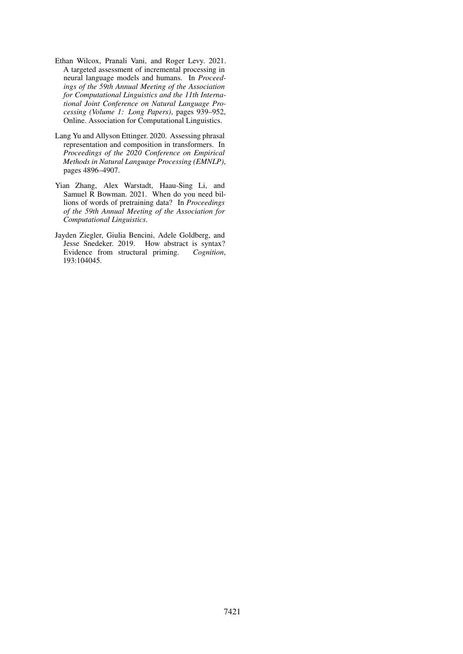- <span id="page-11-2"></span>Ethan Wilcox, Pranali Vani, and Roger Levy. 2021. A targeted assessment of incremental processing in neural language models and humans. In *Proceedings of the 59th Annual Meeting of the Association for Computational Linguistics and the 11th International Joint Conference on Natural Language Processing (Volume 1: Long Papers)*, pages 939–952, Online. Association for Computational Linguistics.
- <span id="page-11-1"></span>Lang Yu and Allyson Ettinger. 2020. Assessing phrasal representation and composition in transformers. In *Proceedings of the 2020 Conference on Empirical Methods in Natural Language Processing (EMNLP)*, pages 4896–4907.
- <span id="page-11-3"></span>Yian Zhang, Alex Warstadt, Haau-Sing Li, and Samuel R Bowman. 2021. When do you need billions of words of pretraining data? In *Proceedings of the 59th Annual Meeting of the Association for Computational Linguistics*.
- <span id="page-11-0"></span>Jayden Ziegler, Giulia Bencini, Adele Goldberg, and Jesse Snedeker. 2019. How abstract is syntax? Evidence from structural priming. *Cognition*, 193:104045.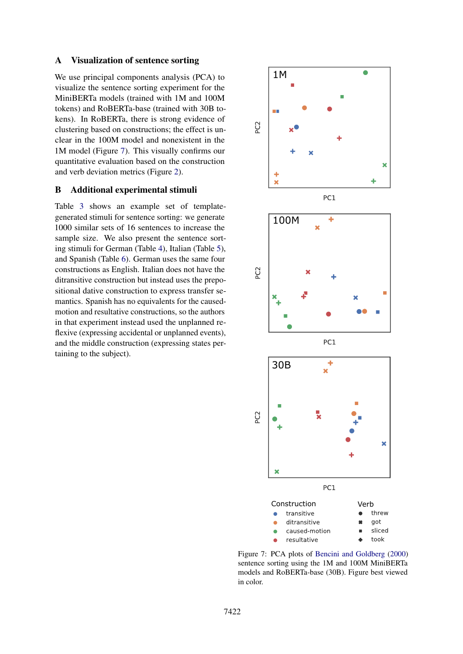### A Visualization of sentence sorting

We use principal components analysis (PCA) to visualize the sentence sorting experiment for the MiniBERTa models (trained with 1M and 100M tokens) and RoBERTa-base (trained with 30B tokens). In RoBERTa, there is strong evidence of clustering based on constructions; the effect is unclear in the 100M model and nonexistent in the 1M model (Figure [7\)](#page-12-0). This visually confirms our quantitative evaluation based on the construction and verb deviation metrics (Figure [2\)](#page-4-0).

## B Additional experimental stimuli

Table [3](#page-13-0) shows an example set of templategenerated stimuli for sentence sorting: we generate 1000 similar sets of 16 sentences to increase the sample size. We also present the sentence sorting stimuli for German (Table [4\)](#page-13-1), Italian (Table [5\)](#page-13-2), and Spanish (Table [6\)](#page-13-3). German uses the same four constructions as English. Italian does not have the ditransitive construction but instead uses the prepositional dative construction to express transfer semantics. Spanish has no equivalents for the causedmotion and resultative constructions, so the authors in that experiment instead used the unplanned reflexive (expressing accidental or unplanned events), and the middle construction (expressing states pertaining to the subject).

<span id="page-12-0"></span>

Figure 7: PCA plots of [Bencini and Goldberg](#page-8-1) [\(2000\)](#page-8-1) sentence sorting using the 1M and 100M MiniBERTa models and RoBERTa-base (30B). Figure best viewed in color.